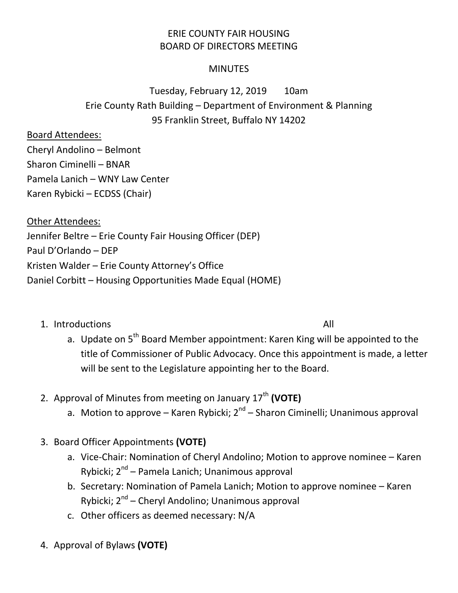## ERIE COUNTY FAIR HOUSING BOARD OF DIRECTORS MEETING

## **MINUTES**

## Tuesday, February 12, 2019 10am Erie County Rath Building – Department of Environment & Planning 95 Franklin Street, Buffalo NY 14202

## Board Attendees:

Cheryl Andolino – Belmont Sharon Ciminelli – BNAR Pamela Lanich – WNY Law Center Karen Rybicki – ECDSS (Chair)

Other Attendees: Jennifer Beltre – Erie County Fair Housing Officer (DEP) Paul D'Orlando – DEP Kristen Walder – Erie County Attorney's Office Daniel Corbitt – Housing Opportunities Made Equal (HOME)

1. Introductions All

- a. Update on  $5<sup>th</sup>$  Board Member appointment: Karen King will be appointed to the title of Commissioner of Public Advocacy. Once this appointment is made, a letter will be sent to the Legislature appointing her to the Board.
- 2. Approval of Minutes from meeting on January 17<sup>th</sup> (VOTE)
	- a. Motion to approve Karen Rybicki; 2<sup>nd</sup> Sharon Ciminelli; Unanimous approval
- 3. Board Officer Appointments **(VOTE)**
	- a. Vice-Chair: Nomination of Cheryl Andolino; Motion to approve nominee Karen Rybicki; 2<sup>nd</sup> – Pamela Lanich; Unanimous approval
	- b. Secretary: Nomination of Pamela Lanich; Motion to approve nominee Karen Rybicki; 2<sup>nd</sup> – Cheryl Andolino; Unanimous approval
	- c. Other officers as deemed necessary: N/A
- 4. Approval of Bylaws **(VOTE)**